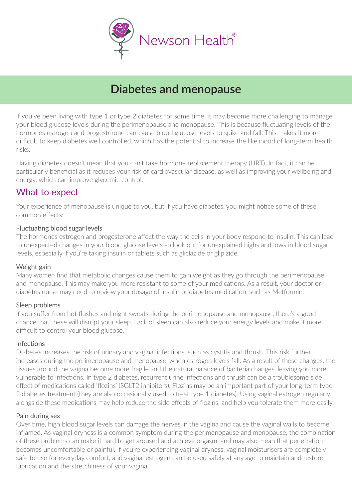

# **Diabetes and menopause**

If you've been living with type 1 or type 2 diabetes for some time, it may become more challenging to manage your blood glucose levels during the perimenopause and menopause. This is because fluctuating levels of the hormones estrogen and progesterone can cause blood glucose levels to spike and fall. This makes it more difficult to keep diabetes well controlled, which has the potential to increase the likelihood of long-term health risks.

Having diabetes doesn't mean that you can't take hormone replacement therapy (HRT). In fact, it can be particularly beneficial as it reduces your risk of cardiovascular disease, as well as improving your wellbeing and energy, which can improve glycemic control.

### What to expect

Your experience of menopause is unique to you, but if you have diabetes, you might notice some of these common effects:

#### Fluctuating blood sugar levels

The hormones estrogen and progesterone affect the way the cells in your body respond to insulin. This can lead to unexpected changes in your blood glucose levels so look out for unexplained highs and lows in blood sugar levels, especially if you're taking insulin or tablets such as gliclazide or glipizide.

#### Weight gain

Many women find that metabolic changes cause them to gain weight as they go through the perimenopause and menopause. This may make you more resistant to some of your medications. As a result, your doctor or diabetes nurse may need to review your dosage of insulin or diabetes medication, such as Metformin.

#### Sleep problems

If you suffer from hot flushes and night sweats during the perimenopause and menopause, there's a good chance that these will disrupt your sleep. Lack of sleep can also reduce your energy levels and make it more difficult to control your blood glucose.

#### Infections

Diabetes increases the risk of urinary and vaginal infections, such as cystitis and thrush. This risk further increases during the perimenopause and menopause, when estrogen levels fall. As a result of these changes, the tissues around the vagina become more fragile and the natural balance of bacteria changes, leaving you more vulnerable to infections. In type 2 diabetes, recurrent urine infections and thrush can be a troublesome side effect of medications called 'flozins' (SGLT2 inhibitors). Flozins may be an important part of your long-term type 2 diabetes treatment (they are also occasionally used to treat type 1 diabetes). Using vaginal estrogen regularly alongside these medications may help reduce the side effects of flozins, and help you tolerate them more easily.

#### Pain during sex

Over time, high blood sugar levels can damage the nerves in the vagina and cause the vaginal walls to become inflamed. As vaginal dryness is a common symptom during the perimenopause and menopause, the combination of these problems can make it hard to get aroused and achieve orgasm, and may also mean that penetration becomes uncomfortable or painful. If you're experiencing vaginal dryness, vaginal moisturisers are completely safe to use for everyday comfort, and vaginal estrogen can be used safely at any age to maintain and restore lubrication and the stretchiness of your vagina.